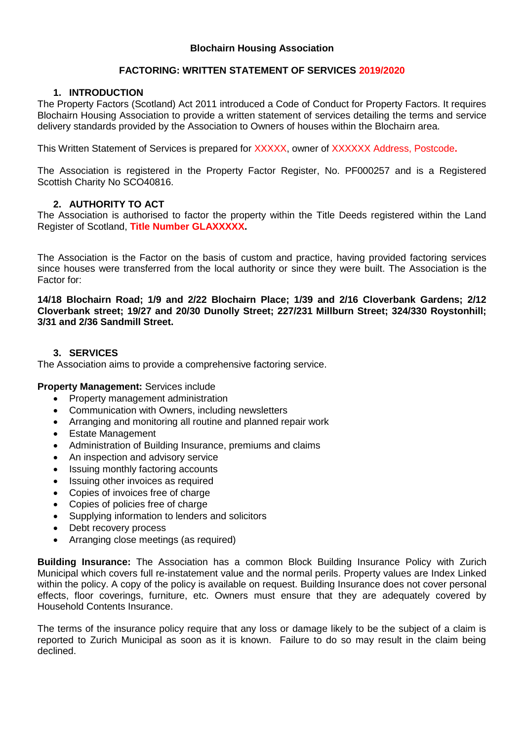# **FACTORING: WRITTEN STATEMENT OF SERVICES 2019/2020**

## **1. INTRODUCTION**

The Property Factors (Scotland) Act 2011 introduced a Code of Conduct for Property Factors. It requires Blochairn Housing Association to provide a written statement of services detailing the terms and service delivery standards provided by the Association to Owners of houses within the Blochairn area.

This Written Statement of Services is prepared for XXXXX, owner of XXXXXX Address, Postcode**.**

The Association is registered in the Property Factor Register, No. PF000257 and is a Registered Scottish Charity No SCO40816.

## **2. AUTHORITY TO ACT**

The Association is authorised to factor the property within the Title Deeds registered within the Land Register of Scotland, **Title Number GLAXXXXX.** 

The Association is the Factor on the basis of custom and practice, having provided factoring services since houses were transferred from the local authority or since they were built. The Association is the Factor for:

**14/18 Blochairn Road; 1/9 and 2/22 Blochairn Place; 1/39 and 2/16 Cloverbank Gardens; 2/12 Cloverbank street; 19/27 and 20/30 Dunolly Street; 227/231 Millburn Street; 324/330 Roystonhill; 3/31 and 2/36 Sandmill Street.**

# **3. SERVICES**

The Association aims to provide a comprehensive factoring service.

**Property Management:** Services include

- Property management administration
- Communication with Owners, including newsletters
- Arranging and monitoring all routine and planned repair work
- Estate Management
- Administration of Building Insurance, premiums and claims
- An inspection and advisory service
- Issuing monthly factoring accounts
- Issuing other invoices as required
- Copies of invoices free of charge
- Copies of policies free of charge
- Supplying information to lenders and solicitors
- Debt recovery process
- Arranging close meetings (as required)

**Building Insurance:** The Association has a common Block Building Insurance Policy with Zurich Municipal which covers full re-instatement value and the normal perils. Property values are Index Linked within the policy. A copy of the policy is available on request. Building Insurance does not cover personal effects, floor coverings, furniture, etc. Owners must ensure that they are adequately covered by Household Contents Insurance.

The terms of the insurance policy require that any loss or damage likely to be the subject of a claim is reported to Zurich Municipal as soon as it is known. Failure to do so may result in the claim being declined.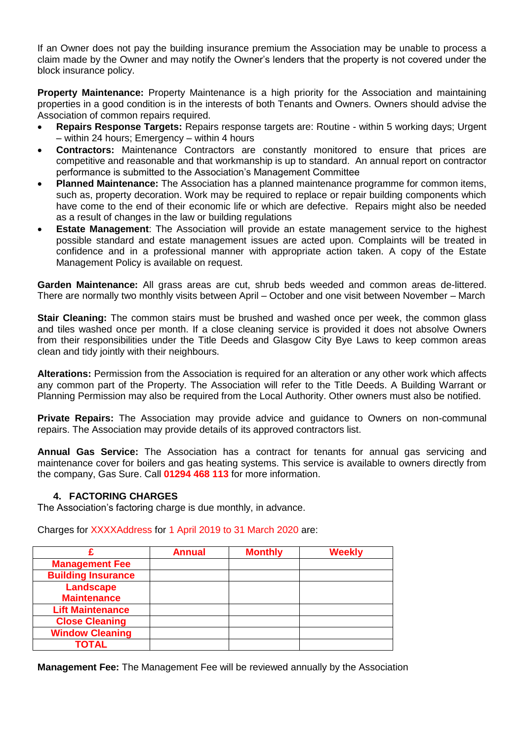If an Owner does not pay the building insurance premium the Association may be unable to process a claim made by the Owner and may notify the Owner's lenders that the property is not covered under the block insurance policy.

**Property Maintenance:** Property Maintenance is a high priority for the Association and maintaining properties in a good condition is in the interests of both Tenants and Owners. Owners should advise the Association of common repairs required.

- **Repairs Response Targets:** Repairs response targets are: Routine within 5 working days; Urgent – within 24 hours; Emergency – within 4 hours
- **Contractors:** Maintenance Contractors are constantly monitored to ensure that prices are competitive and reasonable and that workmanship is up to standard. An annual report on contractor performance is submitted to the Association's Management Committee
- **Planned Maintenance:** The Association has a planned maintenance programme for common items, such as, property decoration. Work may be required to replace or repair building components which have come to the end of their economic life or which are defective. Repairs might also be needed as a result of changes in the law or building regulations
- **Estate Management**: The Association will provide an estate management service to the highest possible standard and estate management issues are acted upon. Complaints will be treated in confidence and in a professional manner with appropriate action taken. A copy of the Estate Management Policy is available on request.

**Garden Maintenance:** All grass areas are cut, shrub beds weeded and common areas de-littered. There are normally two monthly visits between April – October and one visit between November – March

**Stair Cleaning:** The common stairs must be brushed and washed once per week, the common glass and tiles washed once per month. If a close cleaning service is provided it does not absolve Owners from their responsibilities under the Title Deeds and Glasgow City Bye Laws to keep common areas clean and tidy jointly with their neighbours.

**Alterations:** Permission from the Association is required for an alteration or any other work which affects any common part of the Property. The Association will refer to the Title Deeds. A Building Warrant or Planning Permission may also be required from the Local Authority. Other owners must also be notified.

**Private Repairs:** The Association may provide advice and guidance to Owners on non-communal repairs. The Association may provide details of its approved contractors list.

**Annual Gas Service:** The Association has a contract for tenants for annual gas servicing and maintenance cover for boilers and gas heating systems. This service is available to owners directly from the company, Gas Sure. Call **01294 468 113** for more information.

## **4. FACTORING CHARGES**

The Association's factoring charge is due monthly, in advance.

Charges for XXXXAddress for 1 April 2019 to 31 March 2020 are:

|                           | <b>Annual</b> | <b>Monthly</b> | <b>Weekly</b> |
|---------------------------|---------------|----------------|---------------|
| <b>Management Fee</b>     |               |                |               |
| <b>Building Insurance</b> |               |                |               |
| Landscape                 |               |                |               |
| <b>Maintenance</b>        |               |                |               |
| <b>Lift Maintenance</b>   |               |                |               |
| <b>Close Cleaning</b>     |               |                |               |
| <b>Window Cleaning</b>    |               |                |               |
| <b>TOTAL</b>              |               |                |               |

**Management Fee:** The Management Fee will be reviewed annually by the Association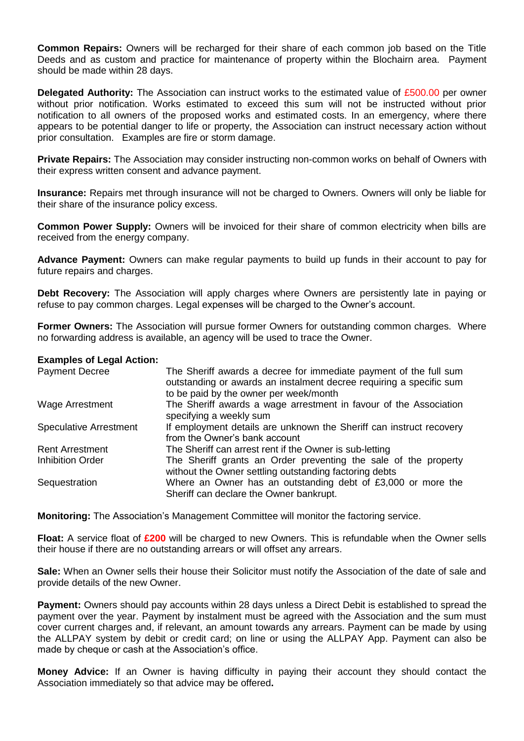**Common Repairs:** Owners will be recharged for their share of each common job based on the Title Deeds and as custom and practice for maintenance of property within the Blochairn area. Payment should be made within 28 days.

**Delegated Authority:** The Association can instruct works to the estimated value of £500.00 per owner without prior notification. Works estimated to exceed this sum will not be instructed without prior notification to all owners of the proposed works and estimated costs. In an emergency, where there appears to be potential danger to life or property, the Association can instruct necessary action without prior consultation. Examples are fire or storm damage.

**Private Repairs:** The Association may consider instructing non-common works on behalf of Owners with their express written consent and advance payment.

**Insurance:** Repairs met through insurance will not be charged to Owners. Owners will only be liable for their share of the insurance policy excess.

**Common Power Supply:** Owners will be invoiced for their share of common electricity when bills are received from the energy company.

**Advance Payment:** Owners can make regular payments to build up funds in their account to pay for future repairs and charges.

**Debt Recovery:** The Association will apply charges where Owners are persistently late in paying or refuse to pay common charges. Legal expenses will be charged to the Owner's account.

**Former Owners:** The Association will pursue former Owners for outstanding common charges. Where no forwarding address is available, an agency will be used to trace the Owner.

### **Examples of Legal Action:**

| <b>Payment Decree</b>         | The Sheriff awards a decree for immediate payment of the full sum<br>outstanding or awards an instalment decree requiring a specific sum<br>to be paid by the owner per week/month |
|-------------------------------|------------------------------------------------------------------------------------------------------------------------------------------------------------------------------------|
| Wage Arrestment               | The Sheriff awards a wage arrestment in favour of the Association<br>specifying a weekly sum                                                                                       |
| <b>Speculative Arrestment</b> | If employment details are unknown the Sheriff can instruct recovery<br>from the Owner's bank account                                                                               |
| <b>Rent Arrestment</b>        | The Sheriff can arrest rent if the Owner is sub-letting                                                                                                                            |
| <b>Inhibition Order</b>       | The Sheriff grants an Order preventing the sale of the property<br>without the Owner settling outstanding factoring debts                                                          |
| Sequestration                 | Where an Owner has an outstanding debt of £3,000 or more the<br>Sheriff can declare the Owner bankrupt.                                                                            |

**Monitoring:** The Association's Management Committee will monitor the factoring service.

**Float:** A service float of **£200** will be charged to new Owners. This is refundable when the Owner sells their house if there are no outstanding arrears or will offset any arrears.

**Sale:** When an Owner sells their house their Solicitor must notify the Association of the date of sale and provide details of the new Owner.

**Payment:** Owners should pay accounts within 28 days unless a Direct Debit is established to spread the payment over the year. Payment by instalment must be agreed with the Association and the sum must cover current charges and, if relevant, an amount towards any arrears. Payment can be made by using the ALLPAY system by debit or credit card; on line or using the ALLPAY App. Payment can also be made by cheque or cash at the Association's office.

**Money Advice:** If an Owner is having difficulty in paying their account they should contact the Association immediately so that advice may be offered**.**